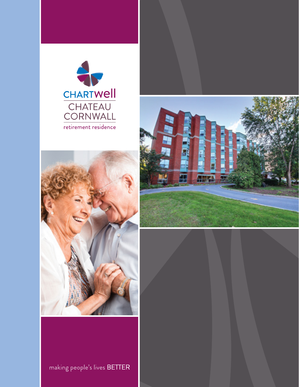





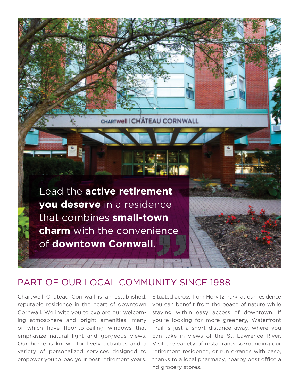Lead the **active retirement you deserve** in a residence that combines **small-town charm** with the convenience of **downtown Cornwall.** 

 $1/1$ 

### PART OF OUR LOCAL COMMUNITY SINCE 1988

CHARTWELL CHÂTEAU CORNWALL

Chartwell Chateau Cornwall is an established, reputable residence in the heart of downtown Cornwall. We invite you to explore our welcoming atmosphere and bright amenities, many of which have floor-to-ceiling windows that emphasize natural light and gorgeous views. Our home is known for lively activities and a variety of personalized services designed to empower you to lead your best retirement years.

Situated across from Horvitz Park, at our residence you can benefit from the peace of nature while staying within easy access of downtown. If you're looking for more greenery, Waterfront Trail is just a short distance away, where you can take in views of the St. Lawrence River. Visit the variety of restaurants surrounding our retirement residence, or run errands with ease, thanks to a local pharmacy, nearby post office a nd grocery stores.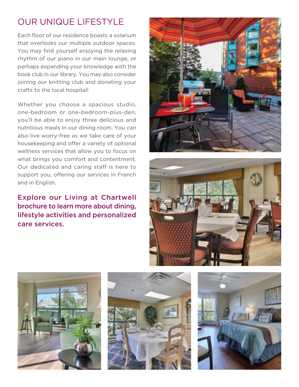# OUR UNIQUE LIFESTYLE

Each floor of our residence boasts a solarium that overlooks our multiple outdoor spaces. You may find yourself enjoying the relaxing rhythm of our piano in our main lounge, or perhaps expanding your knowledge with the book club in our library. You may also consider joining our knitting club and donating your crafts to the local hospital!

Whether you choose a spacious studio, one-bedroom or one-bedroom-plus-den, you'll be able to enjoy three delicious and nutritious meals in our dining room. You can also live worry-free as we take care of your housekeeping and offer a variety of optional wellness services that allow you to focus on what brings you comfort and contentment. Our dedicated and caring staff is here to support you, offering our services in French and in English.

### Explore our Living at Chartwell brochure to learn more about dining, lifestyle activities and personalized care services.









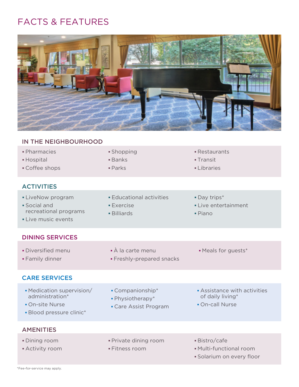## FACTS & FEATURES



| IN THE NEIGHBOURHOOD                                                                        |                                                                        |                                                                       |
|---------------------------------------------------------------------------------------------|------------------------------------------------------------------------|-----------------------------------------------------------------------|
| · Pharmacies<br>• Hospital<br>• Coffee shops                                                | • Shopping<br><b>Banks</b><br>$\blacksquare$ Parks                     | • Restaurants<br>• Transit<br><b>-Libraries</b>                       |
| <b>ACTIVITIES</b>                                                                           |                                                                        |                                                                       |
| • LiveNow program<br>· Social and<br>recreational programs<br>• Live music events           | <b>Educational activities</b><br><b>Exercise</b><br><b>-</b> Billiards | · Day trips*<br>• Live entertainment<br>$\blacksquare$ Piano          |
| <b>DINING SERVICES</b>                                                                      |                                                                        |                                                                       |
| · Diversified menu<br>• Family dinner                                                       | $\overrightarrow{A}$ la carte menu<br>• Freshly-prepared snacks        | • Meals for guests*                                                   |
| <b>CARE SERVICES</b>                                                                        |                                                                        |                                                                       |
| • Medication supervision/<br>administration*<br>• On-site Nurse<br>· Blood pressure clinic* | • Companionship*<br>- Physiotherapy*<br>• Care Assist Program          | Assistance with activities<br>of daily living*<br>• On-call Nurse     |
| <b>AMENITIES</b>                                                                            |                                                                        |                                                                       |
| <b>Dining room</b><br><b>Activity room</b>                                                  | · Private dining room<br>· Fitness room                                | · Bistro/cafe<br>• Multi-functional room<br>· Solarium on every floor |